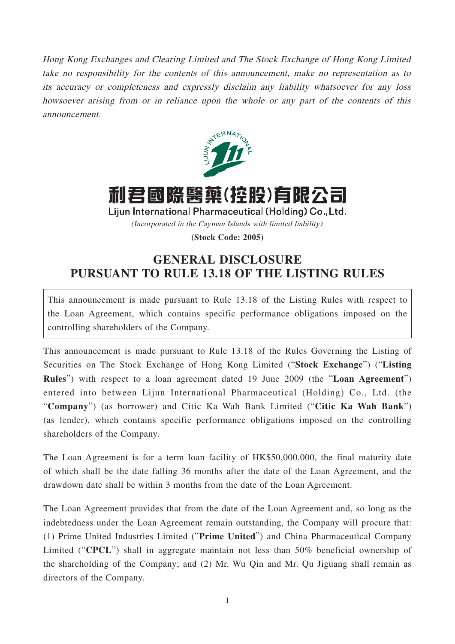Hong Kong Exchanges and Clearing Limited and The Stock Exchange of Hong Kong Limited take no responsibility for the contents of this announcement, make no representation as to its accuracy or completeness and expressly disclaim any liability whatsoever for any loss howsoever arising from or in reliance upon the whole or any part of the contents of this announcement.



## 利君國際醫藥(控股)有限公司

Lijun International Pharmaceutical (Holding) Co., Ltd.

(Incorporated in the Cayman Islands with limited liability)

**(Stock Code: 2005)**

## **GENERAL DISCLOSURE PURSUANT TO RULE 13.18 OF THE LISTING RULES**

This announcement is made pursuant to Rule 13.18 of the Listing Rules with respect to the Loan Agreement, which contains specific performance obligations imposed on the controlling shareholders of the Company.

This announcement is made pursuant to Rule 13.18 of the Rules Governing the Listing of Securities on The Stock Exchange of Hong Kong Limited ("**Stock Exchange**") ("**Listing Rules**") with respect to a loan agreement dated 19 June 2009 (the "**Loan Agreement**") entered into between Lijun International Pharmaceutical (Holding) Co., Ltd. (the "**Company**") (as borrower) and Citic Ka Wah Bank Limited ("**Citic Ka Wah Bank**") (as lender), which contains specific performance obligations imposed on the controlling shareholders of the Company.

The Loan Agreement is for a term loan facility of HK\$50,000,000, the final maturity date of which shall be the date falling 36 months after the date of the Loan Agreement, and the drawdown date shall be within 3 months from the date of the Loan Agreement.

The Loan Agreement provides that from the date of the Loan Agreement and, so long as the indebtedness under the Loan Agreement remain outstanding, the Company will procure that: (1) Prime United Industries Limited ("**Prime United**") and China Pharmaceutical Company Limited ("**CPCL**") shall in aggregate maintain not less than 50% beneficial ownership of the shareholding of the Company; and (2) Mr. Wu Qin and Mr. Qu Jiguang shall remain as directors of the Company.